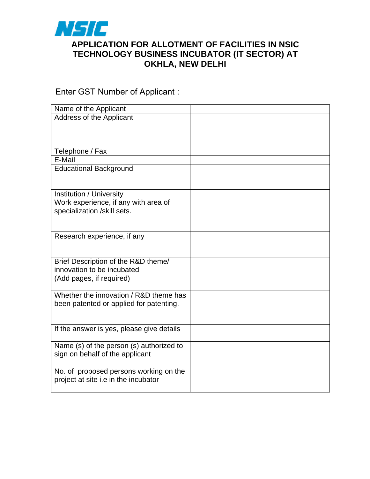

## **APPLICATION FOR ALLOTMENT OF FACILITIES IN NSIC TECHNOLOGY BUSINESS INCUBATOR (IT SECTOR) AT OKHLA, NEW DELHI**

Enter GST Number of Applicant :

| Name of the Applicant                     |  |
|-------------------------------------------|--|
| Address of the Applicant                  |  |
|                                           |  |
|                                           |  |
|                                           |  |
| Telephone / Fax                           |  |
| E-Mail                                    |  |
| <b>Educational Background</b>             |  |
|                                           |  |
|                                           |  |
| Institution / University                  |  |
| Work experience, if any with area of      |  |
| specialization /skill sets.               |  |
|                                           |  |
|                                           |  |
| Research experience, if any               |  |
|                                           |  |
| Brief Description of the R&D theme/       |  |
| innovation to be incubated                |  |
| (Add pages, if required)                  |  |
|                                           |  |
| Whether the innovation / R&D theme has    |  |
| been patented or applied for patenting.   |  |
|                                           |  |
|                                           |  |
| If the answer is yes, please give details |  |
|                                           |  |
| Name (s) of the person (s) authorized to  |  |
| sign on behalf of the applicant           |  |
|                                           |  |
| No. of proposed persons working on the    |  |
| project at site i.e in the incubator      |  |
|                                           |  |